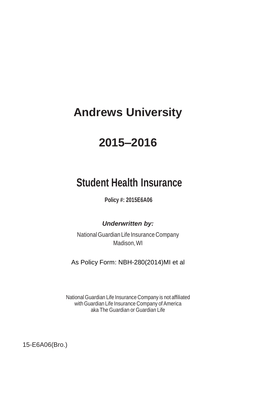# **Andrews University**

# **2015–2016**

## **Student Health Insurance**

**Policy #: 2015E6A06**

*Underwritten by:*

National Guardian Life Insurance Company Madison, WI

As Policy Form: NBH-280(2014)MI et al

National Guardian Life Insurance Company is not affiliated with Guardian Life Insurance Company of America aka The Guardian or Guardian Life

15-E6A06(Bro.)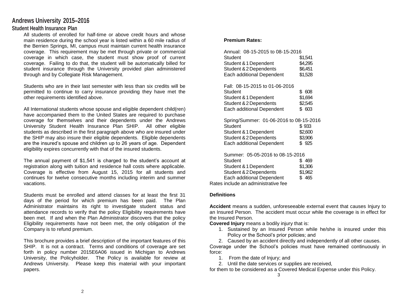## **Andrews University 2015–2016**

## **Student Health Insurance Plan**

All students of enrolled for half-time or above credit hours and whose main residence during the school year is listed within a 60 mile radius of the Berrien Springs, MI, campus must maintain current health insurance coverage. This requirement may be met through private or commercial coverage in which case, the student must show proof of current coverage. Failing to do that, the student will be automatically billed for student insurance through the University provided plan administered through and by Collegiate Risk Management.

Students who are in their last semester with less than six credits will be permitted to continue to carry insurance providing they have met the other requirements identified above.

All International students whose spouse and eligible dependent child(ren) have accompanied them to the United States are required to purchase coverage for themselves and their dependents under the Andrews University Student Health Insurance Plan SHIP. All other eligible students as described in the first paragraph above who are insured under the SHIP may also insure their eligible dependents. Eligible dependents are the insured's spouse and children up to 26 years of age. Dependent eligibility expires concurrently with that of the insured students.

The annual payment of \$1,541 is charged to the student's account at registration along with tuition and residence hall costs where applicable. Coverage is effective from August 15, 2015 for all students and continues for twelve consecutive months including interim and summer vacations.

Students must be enrolled and attend classes for at least the first 31 days of the period for which premium has been paid. The Plan Administrator maintains its right to investigate student status and attendance records to verify that the policy Eligibility requirements have been met. If and when the Plan Administrator discovers that the policy Eligibility requirements have not been met, the only obligation of the Company is to refund premium.

This brochure provides a brief description of the important features of this SHIP. It is not a contract. Terms and conditions of coverage are set forth in policy number 2015E6A06 issued in Michigan to Andrews University, the Policyholder. The Policy is available for review at Andrews University. Please keep this material with your important papers.

## **Premium Rates:**

| Annual: 08-15-2015 to 08-15-2016<br>Student<br>Student & 1 Dependent<br>Student & 2 Dependents<br>Each additional Dependent                                        | \$1,541<br>\$4,295<br>\$6,451<br>\$1,528 |
|--------------------------------------------------------------------------------------------------------------------------------------------------------------------|------------------------------------------|
| Fall: 08-15-2015 to 01-06-2016<br>Student<br>Student & 1 Dependent<br>Student & 2 Dependents<br>Each additional Dependent                                          | \$608<br>\$1,694<br>\$2,545<br>\$ 603    |
| Spring/Summer: 01-06-2016 to 08-15-2016<br>Student<br>Student & 1 Dependent<br>Student & 2 Dependents<br>Each additional Dependent                                 | \$933<br>\$2,600<br>\$3,906<br>\$925     |
| Summer: 05-05-2016 to 08-15-2016<br>Student<br>Student & 1 Dependent<br>Student & 2 Dependents<br>Each additional Dependent<br>Rates include an administrative fee | \$469<br>\$1,306<br>\$1,962<br>\$465     |

#### **Definitions**

**Accident** means a sudden, unforeseeable external event that causes Injury to an Insured Person. The accident must occur while the coverage is in effect for the Insured Person.

**Covered Injury** means a bodily injury that is:

- 1. Sustained by an Insured Person while he/she is insured under this Policy or the School's prior policies; and
- 2. Caused by an accident directly and independently of all other causes.

Coverage under the School's policies must have remained continuously in force:

- 1. From the date of Injury; and
- 2. Until the date services or supplies are received,

for them to be considered as a Covered Medical Expense under this Policy. 3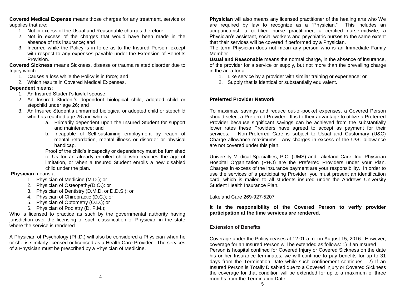**Covered Medical Expense** means those charges for any treatment, service or supplies that are:

- 1. Not in excess of the Usual and Reasonable charges therefore;
- 2. Not in excess of the charges that would have been made in the absence of this insurance; and
- 3. Incurred while the Policy is in force as to the Insured Person, except with respect to any expenses payable under the Extension of Benefits Provision.

**Covered Sickness** means Sickness, disease or trauma related disorder due to Injury which:

- 1. Causes a loss while the Policy is in force; and
- 2. Which results in Covered Medical Expenses.

## **Dependent** means:

- 1. An Insured Student's lawful spouse;
- 2. An Insured Student's dependent biological child, adopted child or stepchild under age 26; and
- 3. An Insured Student's unmarried biological or adopted child or stepchild who has reached age 26 and who is:
	- a. Primarily dependent upon the Insured Student for support and maintenance; and
	- b. Incapable of Self-sustaining employment by reaon of mental retardation, mental illness or disorder or physical handicap.

Proof of the child's incapacity or dependency must be furnished to Us for an already enrolled child who reaches the age of limitation, or when a Insured Student enrolls a new disabled child under the plan.

### **Physician** means a:

- 1. Physician of Medicine (M.D.); or
- 2. Physician of Osteopathy(D.O.): or
- 3. Physician of Dentistry (D.M.D. or D.D.S.); or
- 4. Physician of Chiropractic (D.C.); or
- 5. Physician of Optometry (O.D.); or
- 6. Physician of Podiatry (D. P.M.);

Who is licensed to practice as such by the governmental authority having jurisdiction over the licensing of such classification of Physician in the state where the service is rendered.

A Physician of Psychology (Ph.D.) will also be considered a Physician when he or she is similarly licensed or licensed as a Health Care Provider. The services of a Physician must be prescribed by a Physician of Medicine.

**Physician** will also means any licensed practitioner of the healing arts who We are required by law to recognize as a "Physician." This includes an acupuncturist, a certified nurse practitioner, a certified nurse-midwife, a Physician's assistant, social workers and psychiatric nurses to the same extent that their services will be covered if performed by a Physician.

The term Physician does not mean any person who is an Immediate Family Member.

**Usual and Reasonable** means the normal charge, in the absence of insurance, of the provider for a service or supply, but not more than the prevailing charge in the area for a:

- 1. Like service by a provider with similar training or experience; or
- 2. Supply that is identical or substantially equivalent.

## **Preferred Provider Network**

To maximize savings and reduce out-of-pocket expenses, a Covered Person should select a Preferred Provider. It is to their advantage to utilize a Preferred Provider because significant savings can be achieved from the substantially lower rates these Providers have agreed to accept as payment for their services. Non-Preferred Care is subject to Usual and Customary (U&C) Charge allowance maximums. Any charges in excess of the U&C allowance are not covered under this plan.

University Medical Specialties, P.C. (UMS) and Lakeland Care, Inc. Physician Hospital Organization (PHO) are the Preferred Providers under your Plan. Charges in excess of the insurance payment are your responsibility. In order to use the services of a participating Provider, you must present an identification card, which is mailed to all students insured under the Andrews University Student Health Insurance Plan.

### Lakeland Care 269-927-5207

## **It is the responsibility of the Covered Person to verify provider participation at the time services are rendered.**

## **Extension of Benefits**

Coverage under the Policy ceases at 12:01 a.m. on August 15, 2016. However, coverage for an Insured Person will be extended as follows: 1) If an Insured Person is hospital confined for Covered Injury or Covered Sickness on the date his or her Insurance terminates, we will continue to pay benefits for up to 31 days from the Termination Date while such confinement continues. 2) If an Insured Person is Totally Disabled due to a Covered Injury or Covered Sickness the coverage for that condition will be extended for up to a maximum of three months from the Termination Date.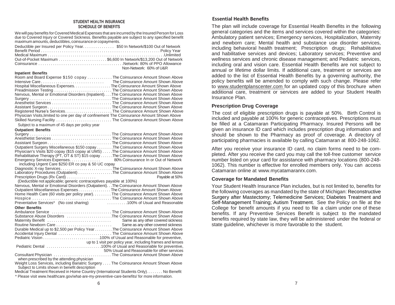#### **STUDENT HEALTH INSURANCE SCHEDULE OF BENEFITS**

We will pay benefits for Covered Medical Expenses that are incurred by the Insured Person for Loss due to Covered Injury or Covered Sickness. Benefits payable are subject to any specified benefit maximum amounts, deductibles, coinsurance or copayments.

| Deductible per Insured per Policy Year\$50 In Network/\$100 Out of Network                                                                                                       |  |
|----------------------------------------------------------------------------------------------------------------------------------------------------------------------------------|--|
|                                                                                                                                                                                  |  |
|                                                                                                                                                                                  |  |
|                                                                                                                                                                                  |  |
| Non-Network: 60% of U&R                                                                                                                                                          |  |
| <b>Inpatient Benefits</b>                                                                                                                                                        |  |
| Room and Board Expense \$150 copay  The Coinsurance Amount Shown Above                                                                                                           |  |
|                                                                                                                                                                                  |  |
|                                                                                                                                                                                  |  |
| Preadmission Testing The Coinsurance Amount Shown Above                                                                                                                          |  |
| Nervous, Mental or Emotional Disorders (Inpatient). The Coinsurance Amount Shown Above                                                                                           |  |
|                                                                                                                                                                                  |  |
|                                                                                                                                                                                  |  |
|                                                                                                                                                                                  |  |
| Registered Nurse's ServicesThe Coinsurance Amount Shown Above                                                                                                                    |  |
| Physician Visits, limited to one per day of confinement The Coinsurance Amount Shown Above                                                                                       |  |
| Skilled Nursing Facility The Coinsurance Amount Shown Above                                                                                                                      |  |
| Subject to a maximum of 45 days per policy year                                                                                                                                  |  |
| <b>Outpatient Benefits</b>                                                                                                                                                       |  |
|                                                                                                                                                                                  |  |
|                                                                                                                                                                                  |  |
|                                                                                                                                                                                  |  |
| Outpatient Surgery Miscellaneous \$150 copay The Coinsurance Amount Shown Above                                                                                                  |  |
| Physician's Visits \$20 copay (\$15 copay at UMS) The Coinsurance Amount Shown Above                                                                                             |  |
| Rehabilitative Therapy (PT, OT & ST) \$15 copay The Coinsurance Amount Shown Above                                                                                               |  |
| Emergency Services Expenses. 80% Coinsurance In or Out of Network                                                                                                                |  |
| including Urgent Care \$250 ER co pay & 50 UC copay                                                                                                                              |  |
| Diagnostic X-ray ServicesThe Coinsurance Amount Shown Above                                                                                                                      |  |
| Laboratory Procedures (Outpatient) The Coinsurance Amount Shown Above                                                                                                            |  |
| Prescription Drugs (Rx Card)<br>Payable at 50%                                                                                                                                   |  |
| (Deductible not applicable; generic contraceptives payable at 100%)                                                                                                              |  |
| Nervous, Mental or Emotional Disorders (Outpatient). . The Coinsurance Amount Shown Above                                                                                        |  |
| Outpatient Miscellaneous Expenses The Coinsurance Amount Shown Above                                                                                                             |  |
| Home Health Care (60 visits per policy year). The Coinsurance Amount Shown Above                                                                                                 |  |
|                                                                                                                                                                                  |  |
| Preventative Services* (No cost sharing) <b>Communist Contract Contract Contract Contract Contract Contract Prevent</b>                                                          |  |
| <b>Other Benefits</b>                                                                                                                                                            |  |
| Ambulance Service  The Coinsurance Amount Shown Above                                                                                                                            |  |
| Substance Abuse Disorders (Consumentation of The Coinsurance Amount Shown Above                                                                                                  |  |
|                                                                                                                                                                                  |  |
| Maternity Benefit (all continuous continuous continuous Same as any other covered sickness<br>Routine Newborn Care (all continuous continuous Same as any other covered sickness |  |
| Durable Medical up to \$2,500 per Policy Year The Coinsurance Amount Shown Above                                                                                                 |  |
| Accidental Injury Dental  The Coinsurance Amount Shown Above                                                                                                                     |  |
|                                                                                                                                                                                  |  |
| up to 1 visit per policy year, including frames and lenses                                                                                                                       |  |
|                                                                                                                                                                                  |  |
| 50% Usual and Reasonable for other services                                                                                                                                      |  |
| Consultant Physician  The Coinsurance Amount Shown Above                                                                                                                         |  |
| when prescribed by the attending physician                                                                                                                                       |  |
| Weight Loss Services, including Bariatric Surgery The Coinsurance Amount Shown Above                                                                                             |  |

Subject to Limits shown in benefit description

Medical Treatment Received in Home Country (International Students Only). . . . . . . . No Benefit

\* Please visi[t www.healthcare.gov/what-are-my-preventive-care-benefits/](http://www.healthcare.gov/what-are-my-preventive-care-benefits/) for more information.

The plan will include coverage for Essential Health Benefits in the following general categories and the items and services covered within the categories: Ambulatory patient services; Emergency services, Hospitalization, Maternity and newborn care; Mental health and substance use disorder services, including behavioral health treatment; Prescription drugs; Rehabilitative and habilitative services and devices; Laboratory services; Preventive and wellness services and chronic disease management; and Pediatric services, including oral and vision care. Essential Health Benefits are not subject to annual or lifetime dollar limits. If additional care, treatment or services are added to the list of Essential Health Benefits by a governing authority, the policy benefits will be amended to comply with such change. Please refer to [www.studentplanscenter.com f](http://www.studentplanscenter.com/)or an updated copy of this brochure when additional care, treatment or services are added to your Student Health Insurance Plan.

## **Prescription Drug Coverage**

The cost of eligible prescription drugs is payable at 50%. Birth Control is included and payable at 100% for generic contraceptives. Prescriptions must be filled at a Catamaran Participating Pharmacy. Insured Persons will be given an insurance ID card which includes prescription drug information and should be shown to the Pharmacy as proof of coverage. A directory of participating pharmacies is available by calling Catamaran at 800-248-1062.

After you receive your insurance ID card, no claim forms need to be completed. After you receive the card you may call the toll-free customer service number listed on your card for assistance with pharmacy locations (800-248- 1062). This number is effective for enrolled members only. You can access Catamaran online at [www.mycatamaranrx.com.](http://www.mycatamaranrx.com/)

## **Coverage for Mandated Benefits**

Your Student Health Insurance Plan includes, but is not limited to, benefits for the following coverages as mandated by the state of Michigan: Reconstructive Surgery after Mastectomy; Telemedicine Services; Diabetes Treatment and Self-Management Training; Autism Treatment. See the Policy on file at the College for benefit amounts if you need to file a claim under one of these benefits. If any Preventive Services Benefit is subject to the mandated benefits required by state law, they will be administered under the federal or state guideline, whichever is more favorable to the student.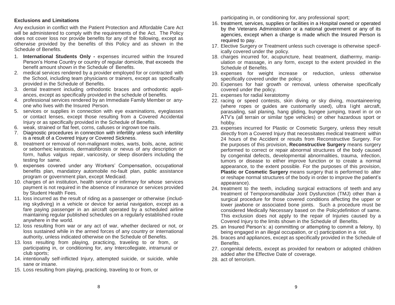## **Exclusions and Limitations**

Any exclusion in conflict with the Patient Protection and Affordable Care Act will be administered to comply with the requirements of the Act. The Policy does not cover loss nor provide benefits for any of the following, except as otherwise provided by the benefits of this Policy and as shown in the Schedule of Benefits.

- 1. **International Students Only -** expenses incurred within the Insured Person's Home Country or country of regular domicile, that exceeds the benefit amount shown in the Schedule of Benefits.
- 2. medical services rendered by a provider employed for or contracted with the School, including team physicians or trainers, except as specifically provided in the Schedule of Benefits.
- 3. dental treatment including orthodontic braces and orthodontic appliances, except as specifically provided in the schedule of benefits.
- 4. professional services rendered by an Immediate Family Member or anyone who lives with the Insured Person.
- 5. services or supplies in connection with eye examinations, eyeglasses or contact lenses, except those resulting from a Covered Accidental Injury or as specifically provided in the Schedule of Benefits.
- 6. weak, strained or flat feet, corns, calluses or ingrown toe nails.
- 7. Diagnostic procedures in connection with infertility unless such infertility is a result of a Covered Injury or Covered Sickness.
- 8. treatment or removal of non-malignant moles, warts, boils, acne, actinic or seborrheic keratosis, dermatofibrosis or nevus of any description or form, hallus valgus repair, varicosity, or sleep disorders including the testing for same.
- 9. expenses covered under any Workers' Compensation, occupational benefits plan, mandatory automobile no-fault plan, public assistance program or government plan, except Medicaid.
- 10. charges of an institution, health service or infirmary for whose services payment is not required in the absence of insurance or services provided by Student Health Fees.
- 11. loss incurred as the result of riding as a passenger or otherwise (including skydiving) in a vehicle or device for aerial navigation, except as a fare paying passenger in an aircraft operated by a scheduled airline maintaining regular published schedules on a regularly established route anywhere in the world.
- 12. loss resulting from war or any act of war, whether declared or not, or loss sustained while in the armed forces of any country or international authority, unless indicated otherwise on the Schedule of Benefits.
- 13. loss resulting from playing, practicing, traveling to or from, or participating in, or conditioning for, any Intercollegiate, intramural or club sports;
- 14. intentionally self-inflicted Injury, attempted suicide, or suicide, while sane or insane.
- 15. Loss resulting from playing, practicing, traveling to or from, or

participating in, or conditioning for, any professional sport;

- 16. treatment, services, supplies or facilities in a Hospital owned or operated by the Veterans Administration or a national government or any of its agencies, except when a charge is made which the Insured Person is required to pay.
- 17. Elective Surgery or Treatment unless such coverage is otherwise specifically covered under the policy.
- 18. charges incurred for, acupuncture, heat treatment, diathermy, manipulation or massage, in any form, except to the extent provided in the Schedule of Benefits.
- 19. expenses for weight increase or reduction, unless otherwise specifically covered under the policy.
- 20. Expenses for hair growth or removal, unless otherwise specifically covered under the policy.
- 21. expenses for radial keratotomy
- 22. racing or speed contests, skin diving or sky diving, mountaineering (where ropes or guides are customarily used), ultra l ight aircraft, parasailing, sail planing, hang gliding, bungee jumping, travel in or on ATV's (all terrain or similar type vehicles) or other hazardous sport or hobby.
- 23. expenses incurred for Plastic or Cosmetic Surgery, unless they result directly from a Covered Injury that necessitates medical treatment within 24 hours of the Accident or results from Reconstructive Surgery. For the purposes of this provision, **Reconstructive Surgery** means surgery performed to correct or repair abnormal structures of the body caused by congenital defects, developmental abnormalities, trauma, infection, tumors or disease to either improve function or to create a normal appearance, to the extent possible. For the purposes of this provision, **Plastic or Cosmetic Surgery** means surgery that is performed to alter or reshape normal structures of the body in order to improve the patient's appearance).
- 24. treatment to the teeth, including surgical extractions of teeth and any treatment of Temporomandibular Joint Dysfunction (TMJ) other than a surgical procedure for those covered conditions affecting the upper or lower jawbone or associated bone joints. Such a procedure must be considered Medically Necessary based on the Policydefinition of same. This exclusion does not apply to the repair of Injuries caused by a Covered Injury to the limits shown in the Schedule of Benefits.
- 25. an Insured Person's: a) committing or attempting to commit a felony, b) being engaged in an illegal occupation, or c) participation in a riot.
- 26. braces and appliances, except as specifically provided in the Schedule of Benefits.
- 27. congenital defects, except as provided for newborn or adopted children added after the Effective Date of coverage.
- 28. act of terrorism.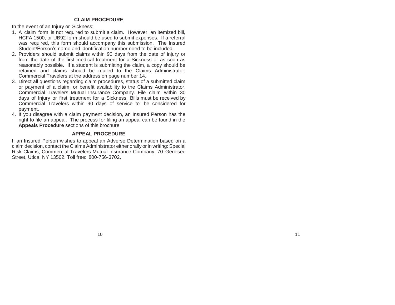### **CLAIM PROCEDURE**

In the event of an Injury or Sickness:

- 1. A claim form is not required to submit a claim. However, an itemized bill, HCFA 1500, or UB92 form should be used to submit expenses. If a referral was required, this form should accompany this submission. The Insured Student/Person's name and identification number need to be included.
- 2. Providers should submit claims within 90 days from the date of injury or from the date of the first medical treatment for a Sickness or as soon as reasonably possible. If a student is submitting the claim, a copy should be retained and claims should be mailed to the Claims Administrator, Commercial Travelers at the address on page number 14.
- 3. Direct all questions regarding claim procedures, status of a submitted claim or payment of a claim, or benefit availability to the Claims Administrator, Commercial Travelers Mutual Insurance Company. File claim within 30 days of Injury or first treatment for a Sickness. Bills must be received by Commercial Travelers within 90 days of service to be considered for payment.
- 4. If you disagree with a claim payment decision, an Insured Person has the right to file an appeal. The process for filing an appeal can be found in the **Appeals Procedure** sections of this brochure.

## **APPEAL PROCEDURE**

If an Insured Person wishes to appeal an Adverse Determination based on a claim decision, contact the Claims Administrator either orally or in writing: Special Risk Claims, Commercial Travelers Mutual Insurance Company, 70 Genesee Street, Utica, NY 13502. Toll free: 800-756-3702.

 $10$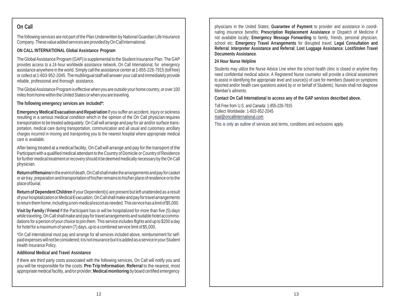## **On Call**

The following services are not part of the Plan Underwritten by National Guardian Life Insurance Company.These valueaddedservicesareprovided byOnCallInternational.

## **ON CALL INTERNATIONAL Global Assistance Program**

The GlobalAssistance Program (GAP)is supplemental to the Student Insurance Plan. The GAP provides access to a 24-hour worldwide assistance network, On Call International, for emergency assistance anywhere in the world.Simply call the assistance center at 1-855-226-7915 (toll free) or collect at 1-603-952-2045. The multilingual staff will answer your call and immediately provide reliable, professional and thorough assistance.

The Global Assistance Program is effective when you are outside your home country, or over 100 miles from home within the United States or when you are traveling.

**The following emergency services are included\*:**

**Emergency Medical Evacuation and Repatriation** If you suffer an accident, injury or sickness resulting in a serious medical condition which in the opinion of the On Call physician requires transportation to be treated adequately, On Call will arrange and pay for air and/or surface transportation, medical care during transportation, communication and all usual and customary ancillary charges incurred in moving and transporting you to the nearest hospital where appropriate medical care is available.

After being treated at a medical facility, On Call will arrange and pay for the transport of the Participant with a qualified medical attendant to the Country of Domicile or Country of Residence for further medical treatment or recovery should it be deemed medically necessary by the On Call physician.

**ReturnofRemains**Intheeventofdeath,OnCallshallmake thearrangements andpay forcasket or airtray,preparation and transportation ofhis/herremains to his/her place ofresidence orto the placeofburial.

**Return of Dependent Children** If your Dependent(s) are present but left unattended as a result ofyourhospitalization orMedicalEvacuation,On Call shallmake and pay fortravelarrangements toreturn themhome,including anon-medicalescortasneeded.Thisservicehasalimitof\$5,000.

**Visit by Family / Friend** If the Participant has or will be hospitalized for more than five (5) days while traveling, On Call shall make and pay fortravel arrangements and suitable hotel accommodations for a person of your choice to join them. This service includes flights and up to \$200 a day for hotel for a maximum of seven (7) days, up to a combined service limit of \$5,000.

\*On Call International must pay and arrange for all services included above, reimbursement for selfpaid expenses will not be considered; it is not insurance but it is added as a service in your Student Health Insurance Policy.

## **Additional Medical and Travel Assistance**

If there are third party costs associated with the following services, On Call will notify you and you will be responsible for the costs: **Pre-Trip Information**; **Referral** to the nearest, most appropriate medical facility, and/or provider; **Medical monitoring** by board certified emergency

physicians in the United States; **Guarantee of Payment** to provider and assistance in coordinating insurance benefits; **Prescription Replacement Assistance** or Dispatch of Medicine if not available locally; **Emergency Message Forwarding** to family, friends, personal physician, school etc; **Emergency Travel Arrangements** for disrupted travel; **Legal Consultation and Referral**; **Interpreter Assistance and Referral**; **Lost Luggage Assistance**; **Lost/Stolen Travel Documents Assistance**.

## **24 Hour Nurse Helpline**

Students may utilize the Nurse Advice Line when the school health clinic is closed or anytime they need confidential medical advice. A Registered Nurse counselor will provide a clinical assessment to assist in identifying the appropriate level and source(s) of care for members (based on symptoms reported and/or health care questions asked by or on behalf of Students). Nurses shall not diagnose Member's ailments.

## **Contact On Call International to access any of the GAP services described above.**

Toll Free from U.S. and Canada: 1-855-226-7915 Collect Worldwide: 1-603-952-2045 [mail@oncallinternational.com](mailto:mail@oncallinternational.com)

This is only an outline of services and terms, conditions and exclusions apply.